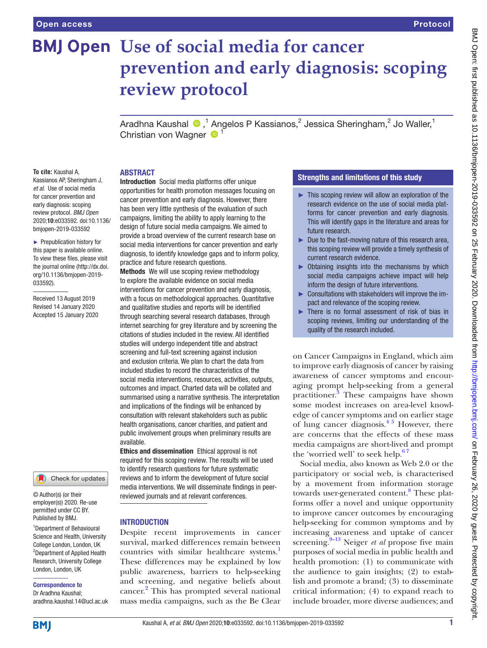# **BMJ Open** Use of social media for cancer **prevention and early diagnosis: scoping review protocol**

Aradhna Kaushal  $\bullet$  ,<sup>1</sup> Angelos P Kassianos,<sup>2</sup> Jessica Sheringham,<sup>2</sup> Jo Waller,<sup>1</sup> Christian von Wagner <sup>1</sup>

## **ABSTRACT**

**To cite:** Kaushal A, Kassianos AP, Sheringham J, *et al*. Use of social media for cancer prevention and early diagnosis: scoping review protocol. *BMJ Open* 2020;10:e033592. doi:10.1136/ bmjopen-2019-033592

► Prepublication history for this paper is available online. To view these files, please visit the journal online (http://dx.doi. org/10.1136/bmjopen-2019- 033592).

Received 13 August 2019 Revised 14 January 2020 Accepted 15 January 2020



© Author(s) (or their employer(s)) 2020. Re-use permitted under CC BY. Published by BMJ.

1 Department of Behavioural Science and Health, University College London, London, UK 2 Department of Applied Health Research, University College London, London, UK

Correspondence to

Dr Aradhna Kaushal; aradhna.kaushal.14@ucl.ac.uk

Introduction Social media platforms offer unique opportunities for health promotion messages focusing on cancer prevention and early diagnosis. However, there has been very little synthesis of the evaluation of such campaigns, limiting the ability to apply learning to the design of future social media campaigns. We aimed to provide a broad overview of the current research base on social media interventions for cancer prevention and early diagnosis, to identify knowledge gaps and to inform policy, practice and future research questions.

Methods We will use scoping review methodology to explore the available evidence on social media interventions for cancer prevention and early diagnosis, with a focus on methodological approaches. Quantitative and qualitative studies and reports will be identified through searching several research databases, through internet searching for grey literature and by screening the citations of studies included in the review. All identified studies will undergo independent title and abstract screening and full-text screening against inclusion and exclusion criteria. We plan to chart the data from included studies to record the characteristics of the social media interventions, resources, activities, outputs, outcomes and impact. Charted data will be collated and summarised using a narrative synthesis. The interpretation and implications of the findings will be enhanced by consultation with relevant stakeholders such as public health organisations, cancer charities, and patient and public involvement groups when preliminary results are available.

Ethics and dissemination Ethical approval is not required for this scoping review. The results will be used to identify research questions for future systematic reviews and to inform the development of future social media interventions. We will disseminate findings in peerreviewed journals and at relevant conferences.

## **INTRODUCTION**

Despite recent improvements in cancer survival, marked differences remain between countries with similar healthcare systems.<sup>[1](#page-4-0)</sup> These differences may be explained by low public awareness, barriers to help-seeking and screening, and negative beliefs about cancer.<sup>[2](#page-4-1)</sup> This has prompted several national mass media campaigns, such as the Be Clear

## Strengths and limitations of this study

- $\blacktriangleright$  This scoping review will allow an exploration of the research evidence on the use of social media platforms for cancer prevention and early diagnosis. This will identify gaps in the literature and areas for future research.
- ► Due to the fast-moving nature of this research area, this scoping review will provide a timely synthesis of current research evidence.
- ► Obtaining insights into the mechanisms by which social media campaigns achieve impact will help inform the design of future interventions.
- ► Consultations with stakeholders will improve the impact and relevance of the scoping review.
- ► There is no formal assessment of risk of bias in scoping reviews, limiting our understanding of the quality of the research included.

on Cancer Campaigns in England, which aim to improve early diagnosis of cancer by raising awareness of cancer symptoms and encouraging prompt help-seeking from a general practitioner.<sup>[3](#page-4-2)</sup> These campaigns have shown some modest increases on area-level knowledge of cancer symptoms and on earlier stage of lung cancer diagnosis. $4\frac{1}{2}$  However, there are concerns that the effects of these mass media campaigns are short-lived and prompt the 'worried well' to seek help. $67$ 

Social media, also known as Web 2.0 or the participatory or social web, is characterised by a movement from information storage towards user-generated content.<sup>8</sup> These platforms offer a novel and unique opportunity to improve cancer outcomes by encouraging help-seeking for common symptoms and by increasing awareness and uptake of cancer screening.<sup>9–13</sup> Neiger *et al* propose five main purposes of social media in public health and health promotion: (1) to communicate with the audience to gain insights; (2) to establish and promote a brand; (3) to disseminate critical information; (4) to expand reach to include broader, more diverse audiences; and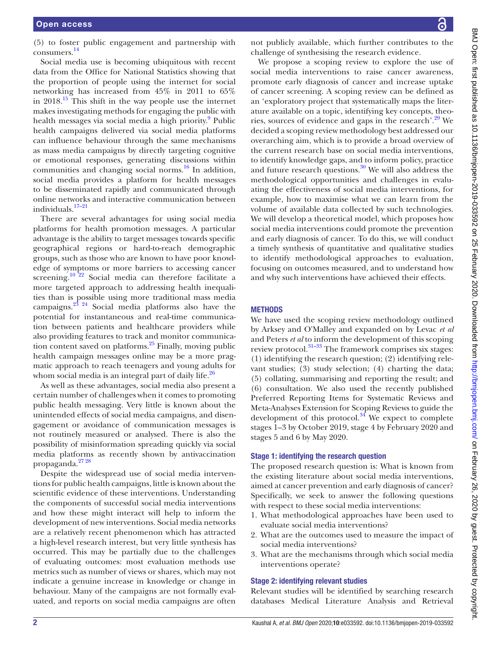(5) to foster public engagement and partnership with consumers. [14](#page-4-7)

Social media use is becoming ubiquitous with recent data from the Office for National Statistics showing that the proportion of people using the internet for social networking has increased from 45% in 2011 to 65% in  $2018<sup>15</sup>$  $2018<sup>15</sup>$  $2018<sup>15</sup>$ . This shift in the way people use the internet makes investigating methods for engaging the public with health messages via social media a high priority.<sup>9</sup> Public health campaigns delivered via social media platforms can influence behaviour through the same mechanisms as mass media campaigns by directly targeting cognitive or emotional responses, generating discussions within communities and changing social norms.<sup>16</sup> In addition, social media provides a platform for health messages to be disseminated rapidly and communicated through online networks and interactive communication between individuals[.17–21](#page-4-10)

There are several advantages for using social media platforms for health promotion messages. A particular advantage is the ability to target messages towards specific geographical regions or hard-to-reach demographic groups, such as those who are known to have poor knowledge of symptoms or more barriers to accessing cancer screening.<sup>10 22</sup> Social media can therefore facilitate a more targeted approach to addressing health inequalities than is possible using more traditional mass media campaigns.<sup>23</sup><sup>24</sup> Social media platforms also have the potential for instantaneous and real-time communication between patients and healthcare providers while also providing features to track and monitor communication content saved on platforms.<sup>25</sup> Finally, moving public health campaign messages online may be a more pragmatic approach to reach teenagers and young adults for whom social media is an integral part of daily life. $^{26}$ 

As well as these advantages, social media also present a certain number of challenges when it comes to promoting public health messaging. Very little is known about the unintended effects of social media campaigns, and disengagement or avoidance of communication messages is not routinely measured or analysed. There is also the possibility of misinformation spreading quickly via social media platforms as recently shown by antivaccination propaganda.[27 28](#page-4-15)

Despite the widespread use of social media interventions for public health campaigns, little is known about the scientific evidence of these interventions. Understanding the components of successful social media interventions and how these might interact will help to inform the development of new interventions. Social media networks are a relatively recent phenomenon which has attracted a high-level research interest, but very little synthesis has occurred. This may be partially due to the challenges of evaluating outcomes: most evaluation methods use metrics such as number of views or shares, which may not indicate a genuine increase in knowledge or change in behaviour. Many of the campaigns are not formally evaluated, and reports on social media campaigns are often

not publicly available, which further contributes to the challenge of synthesising the research evidence.

We propose a scoping review to explore the use of social media interventions to raise cancer awareness, promote early diagnosis of cancer and increase uptake of cancer screening. A scoping review can be defined as an 'exploratory project that systematically maps the literature available on a topic, identifying key concepts, theories, sources of evidence and gaps in the research'[.29](#page-4-16) We decided a scoping review methodology best addressed our overarching aim, which is to provide a broad overview of the current research base on social media interventions, to identify knowledge gaps, and to inform policy, practice and future research questions.[30](#page-4-17) We will also address the methodological opportunities and challenges in evaluating the effectiveness of social media interventions, for example, how to maximise what we can learn from the volume of available data collected by such technologies. We will develop a theoretical model, which proposes how social media interventions could promote the prevention and early diagnosis of cancer. To do this, we will conduct a timely synthesis of quantitative and qualitative studies to identify methodological approaches to evaluation, focusing on outcomes measured, and to understand how and why such interventions have achieved their effects.

### **METHODS**

We have used the scoping review methodology outlined by Arksey and O'Malley and expanded on by Levac *et al* and Peters *et al* to inform the development of this scoping review protocol.<sup>31-33</sup> The framework comprises six stages: (1) identifying the research question; (2) identifying relevant studies; (3) study selection; (4) charting the data; (5) collating, summarising and reporting the result; and (6) consultation. We also used the recently published Preferred Reporting Items for Systematic Reviews and Meta-Analyses Extension for Scoping Reviews to guide the development of this protocol. $34$  We expect to complete stages 1–3 by October 2019, stage 4 by February 2020 and stages 5 and 6 by May 2020.

### Stage 1: identifying the research question

The proposed research question is: What is known from the existing literature about social media interventions, aimed at cancer prevention and early diagnosis of cancer? Specifically, we seek to answer the following questions with respect to these social media interventions:

- 1. What methodological approaches have been used to evaluate social media interventions?
- 2. What are the outcomes used to measure the impact of social media interventions?
- 3. What are the mechanisms through which social media interventions operate?

## Stage 2: identifying relevant studies

Relevant studies will be identified by searching research databases Medical Literature Analysis and Retrieval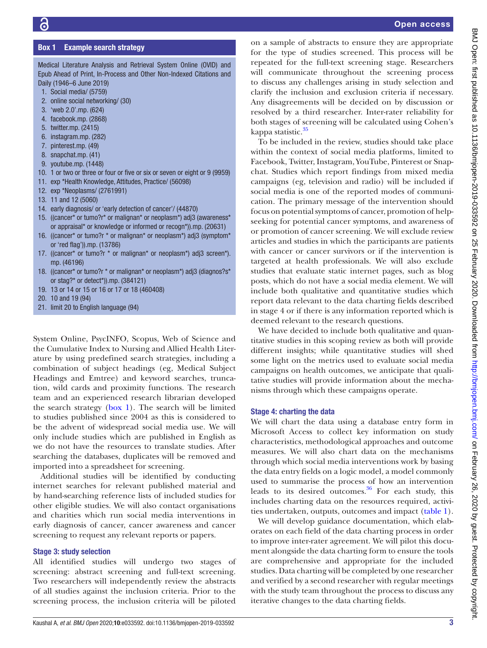# Box 1 Example search strategy

<span id="page-2-0"></span>Medical Literature Analysis and Retrieval System Online (OVID) and Epub Ahead of Print, In-Process and Other Non-Indexed Citations and Daily (1946–6 June 2019)

- 1. Social media/ (5759)
- 2. online social networking/ (30)
- 3. 'web 2.0'.mp. (624)
- 4. facebook.mp. (2868)
- 5. twitter.mp. (2415)
- 6. instagram.mp. (282)
- 7. pinterest.mp. (49)
- 8. snapchat.mp. (41)
- 9. youtube.mp. (1448)
- 10. 1 or two or three or four or five or six or seven or eight or 9 (9959)
- 11. exp \*Health Knowledge, Attitudes, Practice/ (56098)
- 12. exp \*Neoplasms/ (2761991)
- 13. 11 and 12 (5060)
- 14. early diagnosis/ or 'early detection of cancer'/ (44870)
- 15. ((cancer\* or tumo?r\* or malignan\* or neoplasm\*) adj3 (awareness\* or appraisal\* or knowledge or informed or recogn\*)).mp. (20631)
- 16. ((cancer\* or tumo?r \* or malignan\* or neoplasm\*) adj3 (symptom\* or 'red flag')).mp. (13786)
- 17. ((cancer\* or tumo?r \* or malignan\* or neoplasm\*) adj3 screen\*). mp. (46196)
- 18. ((cancer\* or tumo?r \* or malignan\* or neoplasm\*) adj3 (diagnos?s\* or stag?\* or detect\*)).mp. (384121)
- 19. 13 or 14 or 15 or 16 or 17 or 18 (460408)
- 20. 10 and 19 (94)
- 21. limit 20 to English language (94)

System Online, PsycINFO, Scopus, Web of Science and the Cumulative Index to Nursing and Allied Health Literature by using predefined search strategies, including a combination of subject headings (eg, Medical Subject Headings and Emtree) and keyword searches, truncation, wild cards and proximity functions. The research team and an experienced research librarian developed the search strategy ([box](#page-2-0) 1). The search will be limited to studies published since 2004 as this is considered to be the advent of widespread social media use. We will only include studies which are published in English as we do not have the resources to translate studies. After searching the databases, duplicates will be removed and imported into a spreadsheet for screening.

Additional studies will be identified by conducting internet searches for relevant published material and by hand-searching reference lists of included studies for other eligible studies. We will also contact organisations and charities which run social media interventions in early diagnosis of cancer, cancer awareness and cancer screening to request any relevant reports or papers.

### Stage 3: study selection

All identified studies will undergo two stages of screening: abstract screening and full-text screening. Two researchers will independently review the abstracts of all studies against the inclusion criteria. Prior to the screening process, the inclusion criteria will be piloted

on a sample of abstracts to ensure they are appropriate for the type of studies screened. This process will be repeated for the full-text screening stage. Researchers will communicate throughout the screening process to discuss any challenges arising in study selection and clarify the inclusion and exclusion criteria if necessary. Any disagreements will be decided on by discussion or resolved by a third researcher. Inter-rater reliability for both stages of screening will be calculated using Cohen's kappa statistic.<sup>35</sup>

To be included in the review, studies should take place within the context of social media platforms, limited to Facebook, Twitter, Instagram, YouTube, Pinterest or Snapchat. Studies which report findings from mixed media campaigns (eg, television and radio) will be included if social media is one of the reported modes of communication. The primary message of the intervention should focus on potential symptoms of cancer, promotion of helpseeking for potential cancer symptoms, and awareness of or promotion of cancer screening. We will exclude review articles and studies in which the participants are patients with cancer or cancer survivors or if the intervention is targeted at health professionals. We will also exclude studies that evaluate static internet pages, such as blog posts, which do not have a social media element. We will include both qualitative and quantitative studies which report data relevant to the data charting fields described in stage 4 or if there is any information reported which is deemed relevant to the research questions.

We have decided to include both qualitative and quantitative studies in this scoping review as both will provide different insights; while quantitative studies will shed some light on the metrics used to evaluate social media campaigns on health outcomes, we anticipate that qualitative studies will provide information about the mechanisms through which these campaigns operate.

### Stage 4: charting the data

We will chart the data using a database entry form in Microsoft Access to collect key information on study characteristics, methodological approaches and outcome measures. We will also chart data on the mechanisms through which social media interventions work by basing the data entry fields on a logic model, a model commonly used to summarise the process of how an intervention leads to its desired outcomes. $36$  For each study, this includes charting data on the resources required, activities undertaken, outputs, outcomes and impact ([table](#page-3-0) 1).

We will develop guidance documentation, which elaborates on each field of the data charting process in order to improve inter-rater agreement. We will pilot this document alongside the data charting form to ensure the tools are comprehensive and appropriate for the included studies. Data charting will be completed by one researcher and verified by a second researcher with regular meetings with the study team throughout the process to discuss any iterative changes to the data charting fields.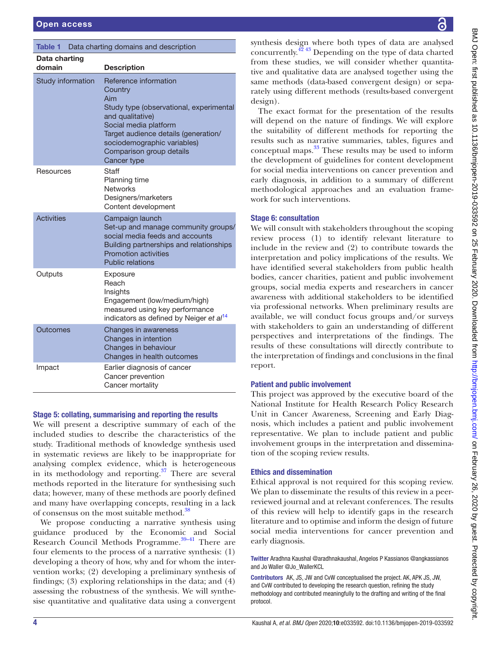<span id="page-3-0"></span>

|  | <b>Table 1</b> Data charting domains and description |  |  |
|--|------------------------------------------------------|--|--|
|--|------------------------------------------------------|--|--|

| Data charting<br>domain | <b>Description</b>                                                                                                                                                                                                                                |
|-------------------------|---------------------------------------------------------------------------------------------------------------------------------------------------------------------------------------------------------------------------------------------------|
| Study information       | Reference information<br>Country<br>Aim<br>Study type (observational, experimental<br>and qualitative)<br>Social media platform<br>Target audience details (generation/<br>sociodemographic variables)<br>Comparison group details<br>Cancer type |
| Resources               | Staff<br>Planning time<br><b>Networks</b><br>Designers/marketers<br>Content development                                                                                                                                                           |
| <b>Activities</b>       | Campaign launch<br>Set-up and manage community groups/<br>social media feeds and accounts<br>Building partnerships and relationships<br><b>Promotion activities</b><br><b>Public relations</b>                                                    |
| Outputs                 | Exposure<br>Reach<br>Insights<br>Engagement (low/medium/high)<br>measured using key performance<br>indicators as defined by Neiger et al <sup>14</sup>                                                                                            |
| Outcomes                | Changes in awareness<br>Changes in intention<br>Changes in behaviour<br>Changes in health outcomes                                                                                                                                                |
| Impact                  | Earlier diagnosis of cancer<br>Cancer prevention<br>Cancer mortality                                                                                                                                                                              |

### Stage 5: collating, summarising and reporting the results

We will present a descriptive summary of each of the included studies to describe the characteristics of the study. Traditional methods of knowledge synthesis used in systematic reviews are likely to be inappropriate for analysing complex evidence, which is heterogeneous in its methodology and reporting. $37$  There are several methods reported in the literature for synthesising such data; however, many of these methods are poorly defined and many have overlapping concepts, resulting in a lack of consensus on the most suitable method.<sup>[38](#page-4-23)</sup>

We propose conducting a narrative synthesis using guidance produced by the Economic and Social Research Council Methods Programme.<sup>39-41</sup> There are four elements to the process of a narrative synthesis: (1) developing a theory of how, why and for whom the intervention works; (2) developing a preliminary synthesis of findings; (3) exploring relationships in the data; and (4) assessing the robustness of the synthesis. We will synthesise quantitative and qualitative data using a convergent synthesis design where both types of data are analysed concurrently. $\frac{4243}{2}$  Depending on the type of data charted from these studies, we will consider whether quantitative and qualitative data are analysed together using the same methods (data-based convergent design) or separately using different methods (results-based convergent design).

The exact format for the presentation of the results will depend on the nature of findings. We will explore the suitability of different methods for reporting the results such as narrative summaries, tables, figures and conceptual maps.<sup>33</sup> These results may be used to inform the development of guidelines for content development for social media interventions on cancer prevention and early diagnosis, in addition to a summary of different methodological approaches and an evaluation framework for such interventions.

## Stage 6: consultation

We will consult with stakeholders throughout the scoping review process (1) to identify relevant literature to include in the review and (2) to contribute towards the interpretation and policy implications of the results. We have identified several stakeholders from public health bodies, cancer charities, patient and public involvement groups, social media experts and researchers in cancer awareness with additional stakeholders to be identified via professional networks. When preliminary results are available, we will conduct focus groups and/or surveys with stakeholders to gain an understanding of different perspectives and interpretations of the findings. The results of these consultations will directly contribute to the interpretation of findings and conclusions in the final report.

### Patient and public involvement

This project was approved by the executive board of the National Institute for Health Research Policy Research Unit in Cancer Awareness, Screening and Early Diagnosis, which includes a patient and public involvement representative. We plan to include patient and public involvement groups in the interpretation and dissemination of the scoping review results.

## Ethics and dissemination

Ethical approval is not required for this scoping review. We plan to disseminate the results of this review in a peerreviewed journal and at relevant conferences. The results of this review will help to identify gaps in the research literature and to optimise and inform the design of future social media interventions for cancer prevention and early diagnosis.

Twitter Aradhna Kaushal [@aradhnakaushal](https://twitter.com/aradhnakaushal), Angelos P Kassianos [@angkassianos](https://twitter.com/angkassianos)  and Jo Waller [@Jo\\_WallerKCL](https://twitter.com/Jo_WallerKCL)

Contributors AK, JS, JW and CvW conceptualised the project. AK, APK JS, JW, and CvW contributed to developing the research question, refining the study methodology and contributed meaningfully to the drafting and writing of the final protocol.